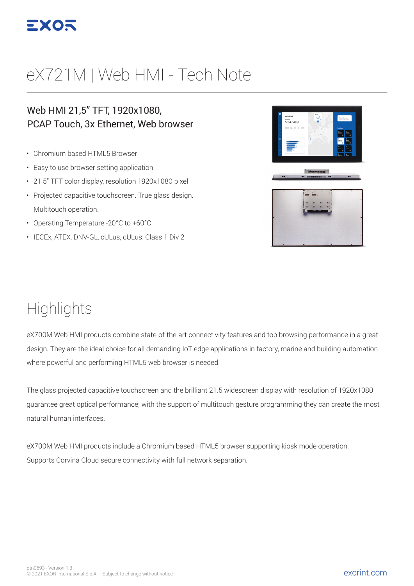

# eX721M | Web HMI - Tech Note

#### Web HMI 21,5" TFT, 1920x1080, PCAP Touch, 3x Ethernet, Web browser

- Chromium based HTML5 Browser
- Easy to use browser setting application
- 21.5" TFT color display, resolution 1920x1080 pixel
- Projected capacitive touchscreen. True glass design. Multitouch operation.
- Operating Temperature -20°C to +60°C
- IECEx, ATEX, DNV-GL, cULus, cULus: Class 1 Div 2



#### **Highlights**

eX700M Web HMI products combine state-of-the-art connectivity features and top browsing performance in a great design. They are the ideal choice for all demanding IoT edge applications in factory, marine and building automation where powerful and performing HTML5 web browser is needed.

The glass projected capacitive touchscreen and the brilliant 21.5 widescreen display with resolution of 1920x1080 guarantee great optical performance; with the support of multitouch gesture programming they can create the most natural human interfaces.

eX700M Web HMI products include a Chromium based HTML5 browser supporting kiosk mode operation. Supports Corvina Cloud secure connectivity with full network separation.